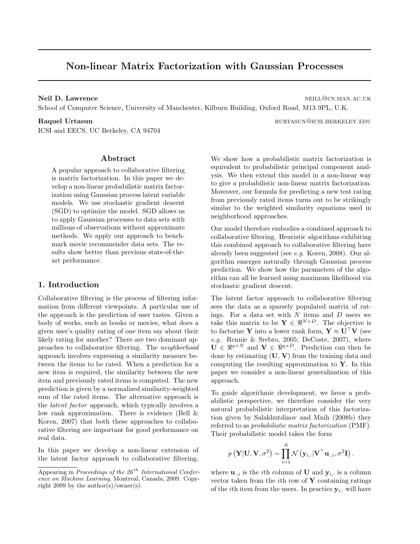# Non-linear Matrix Factorization with Gaussian Processes

Neil D. Lawrence neille and the neille of the neille neighborhood neighborhood neighborhood neighborhood neighborhood neighborhood neighborhood neighborhood neighborhood neighborhood neighborhood neighborhood neighborhood

School of Computer Science, University of Manchester, Kilburn Building, Oxford Road, M13 9PL, U.K.

ICSI and EECS, UC Berkeley, CA 94704

## Abstract

A popular approach to collaborative filtering is matrix factorization. In this paper we develop a non-linear probabilistic matrix factorization using Gaussian process latent variable models. We use stochastic gradient descent (SGD) to optimize the model. SGD allows us to apply Gaussian processes to data sets with millions of observations without approximate methods. We apply our approach to benchmark movie recommender data sets. The results show better than previous state-of-theart performance.

## 1. Introduction

Collaborative filtering is the process of filtering information from different viewpoints. A particular use of the approach is the prediction of user tastes. Given a body of works, such as books or movies, what does a given user's quality rating of one item say about their likely rating for another? There are two dominant approaches to collaborative filtering. The neighborhood approach involves expressing a similarity measure between the items to be rated. When a prediction for a new item is required, the similarity between the new item and previously rated items is computed. The new prediction is given by a normalized similarity-weighted sum of the rated items. The alternative approach is the latent factor approach, which typically involves a low rank approximation. There is evidence (Bell & Koren, 2007) that both these approaches to collaborative filtering are important for good performance on real data.

In this paper we develop a non-linear extension of the latent factor approach to collaborative filtering. We show how a probabilistic matrix factorization is equivalent to probabilistic principal component analysis. We then extend this model in a non-linear way to give a probabilistic non-linear matrix factorization. Moreover, our formula for predicting a new test rating from previously rated items turns out to be strikingly similar to the weighted similarity equations used in neighborhood approaches.

Our model therefore embodies a combined approach to collaborative filtering. Heuristic algorithms exhibiting this combined approach to collaborative filtering have already been suggested (see e.g. Koren, 2008). Our algorithm emerges naturally through Gaussian process prediction. We show how the parameters of the algorithm can all be learned using maximum likelihood via stochastic gradient descent.

The latent factor approach to collaborative filtering sees the data as a sparsely populated matrix of ratings. For a data set with  $N$  items and  $D$  users we take this matrix to be  $\mathbf{Y} \in \mathbb{R}^{N \times D}$ . The objective is to factorize **Y** into a lower rank form,  $\mathbf{Y} \approx \mathbf{U}^\top \mathbf{V}$  (see e.g. Rennie & Srebro, 2005; DeCoste, 2007), where  $\mathbf{U} \in \mathbb{R}^{q \times N}$  and  $\mathbf{V} \in \mathbb{R}^{q \times D}$ . Prediction can then be done by estimating  $(U, V)$  from the training data and computing the resulting approximation to  $\mathbf{Y}$ . In this paper we consider a non-linear generalization of this approach.

To guide algorithmic development, we favor a probabilistic perspective, we therefore consider the very natural probabilistic interpretation of this factorization given by Salakhutdinov and Mnih (2008b) they referred to as probabilistic matrix factorization (PMF). Their probabilistic model takes the form

$$
p\left(\mathbf{Y}|\mathbf{U},\mathbf{V},\sigma^2\right)=\prod_{i=1}^N\mathcal{N}\left(\mathbf{y}_{i,:}\vert\mathbf{V}^\top\mathbf{u}_{:,i},\sigma^2\mathbf{I}\right).
$$

where  $\mathbf{u}_{:,i}$  is the *i*<sup>th</sup> column of **U** and  $\mathbf{y}_{i,:}$  is a column vector taken from the *i*th row of  $\bf{Y}$  containing ratings of the *i*th item from the users. In practice  $y_i$ , will have

Raquel Urtasun rurtasun rurtasun rurtasun rurtasun rurtasun rurtasun rurtasun rurtasun rurtasun rurtasun rurtasun rurtasun rurtasun rurtasun rurtasun rurtasun rurtasun rurtasun rurtasun rurtasun rurtasun rurtasun rurtasun

Appearing in Proceedings of the  $26<sup>th</sup>$  International Conference on Machine Learning, Montreal, Canada, 2009. Copyright 2009 by the author(s)/owner(s).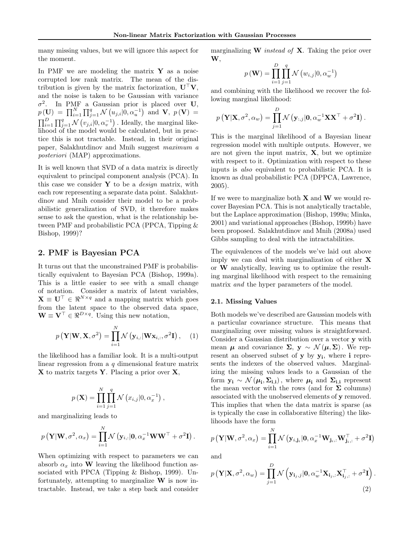many missing values, but we will ignore this aspect for the moment.

In PMF we are modeling the matrix  $\mathbf{Y}$  as a noise corrupted low rank matrix. The mean of the distribution is given by the matrix factorization,  $U^{\top}V$ , and the noise is taken to be Gaussian with variance  $\sigma^2$ . In PMF a Gaussian prior is placed over U,  $p\left(\mathbf{U}\right) \;=\; \prod_{i=1}^{N} \prod_{j=1}^{q} \mathcal{N}\left(u_{j,i}|0,\alpha^{-1}_u\right) \; \text{and} \; \mathbf{V},\; p\left(\mathbf{V}\right) \;=$  $\prod_{i=1}^{D} \prod_{j=1}^{q} \mathcal{N}(v_{j,i}|0, \alpha_v^{-1})$ . Ideally, the marginal likelihood of the model would be calculated, but in practice this is not tractable. Instead, in their original paper, Salakhutdinov and Mnih suggest maximum a posteriori (MAP) approximations.

It is well known that SVD of a data matrix is directly equivalent to principal component analysis (PCA). In this case we consider  $Y$  to be a *design* matrix, with each row representing a separate data point. Salakhutdinov and Mnih consider their model to be a probabilistic generalization of SVD, it therefore makes sense to ask the question, what is the relationship between PMF and probabilistic PCA (PPCA, Tipping & Bishop, 1999)?

## 2. PMF is Bayesian PCA

It turns out that the unconstrained PMF is probabilistically equivalent to Bayesian PCA (Bishop, 1999a). This is a little easier to see with a small change of notation. Consider a matrix of latent variables,  $\mathbf{X} \equiv \mathbf{U}^{\top} \in \Re^{N \times q}$  and a mapping matrix which goes from the latent space to the observed data space,  $\mathbf{W} \equiv \mathbf{V}^{\top} \in \Re^{D \times q}$ . Using this new notation,

$$
p\left(\mathbf{Y}|\mathbf{W},\mathbf{X},\sigma^2\right) = \prod_{i=1}^N \mathcal{N}\left(\mathbf{y}_{i,:}|\mathbf{W}\mathbf{x}_{i,:},\sigma^2\mathbf{I}\right),\quad(1)
$$

the likelihood has a familiar look. It is a multi-output linear regression from a q dimensional feature matrix X to matrix targets Y. Placing a prior over X,

$$
p(\mathbf{X}) = \prod_{i=1}^{N} \prod_{j=1}^{q} \mathcal{N}(x_{i,j}|0, \alpha_x^{-1}),
$$

and marginalizing leads to

$$
p(\mathbf{Y}|\mathbf{W}, \sigma^2, \alpha_x) = \prod_{i=1}^N \mathcal{N}(\mathbf{y}_{i,:}|\mathbf{0}, \alpha_x^{-1}\mathbf{W}\mathbf{W}^\top + \sigma^2 \mathbf{I}).
$$

When optimizing with respect to parameters we can absorb  $\alpha_x$  into **W** leaving the likelihood function associated with PPCA (Tipping & Bishop, 1999). Unfortunately, attempting to marginalize  $W$  is now intractable. Instead, we take a step back and consider marginalizing  $W$  instead of  $X$ . Taking the prior over W,

$$
p(\mathbf{W}) = \prod_{i=1}^{D} \prod_{j=1}^{q} \mathcal{N}(w_{i,j}|0, \alpha_w^{-1})
$$

and combining with the likelihood we recover the following marginal likelihood:

$$
p\left(\mathbf{Y}|\mathbf{X},\sigma^2,\alpha_w\right) = \prod_{j=1}^D \mathcal{N}\left(\mathbf{y}_{:,j}|\mathbf{0},\alpha_w^{-1}\mathbf{X}\mathbf{X}^\top + \sigma^2\mathbf{I}\right).
$$

This is the marginal likelihood of a Bayesian linear regression model with multiple outputs. However, we are not given the input matrix,  $X$ , but we optimize with respect to it. Optimization with respect to these inputs is also equivalent to probabilistic PCA. It is known as dual probabilistic PCA (DPPCA, Lawrence, 2005).

If we were to marginalize both  $X$  and  $W$  we would recover Bayesian PCA. This is not analytically tractable, but the Laplace approximation (Bishop, 1999a; Minka, 2001) and variational approaches (Bishop, 1999b) have been proposed. Salakhutdinov and Mnih (2008a) used Gibbs sampling to deal with the intractabilities.

The equivalences of the models we've laid out above imply we can deal with marginalization of either X or W analytically, leaving us to optimize the resulting marginal likelihood with respect to the remaining matrix and the hyper parameters of the model.

#### 2.1. Missing Values

Both models we've described are Gaussian models with a particular covariance structure. This means that marginalizing over missing values is straightforward. Consider a Gaussian distribution over a vector y with mean  $\mu$  and covariance  $\Sigma$ ,  $y \sim \mathcal{N}(\mu, \Sigma)$ . We represent an observed subset of  $y$  by  $y_i$ , where i represents the indexes of the observed values. Marginalizing the missing values leads to a Gaussian of the form  $y_i \sim \mathcal{N}(\mu_i, \Sigma_{i,i})$ , where  $\mu_i$  and  $\Sigma_{i,i}$  represent the mean vector with the rows (and for  $\Sigma$  columns) associated with the unobserved elements of y removed. This implies that when the data matrix is sparse (as is typically the case in collaborative filtering) the likelihoods have the form

$$
p\left(\mathbf{Y}|\mathbf{W},\sigma^2,\alpha_x\right) = \prod_{i=1}^N \mathcal{N}\left(\mathbf{y}_{i,\mathbf{j}_i}|\mathbf{0},\alpha_x^{-1}\mathbf{W}_{\mathbf{j}_i,:}\mathbf{W}_{\mathbf{j}_i,:}^\top + \sigma^2\mathbf{I}\right)
$$

and

$$
p\left(\mathbf{Y}|\mathbf{X},\sigma^2,\alpha_w\right) = \prod_{j=1}^{D} \mathcal{N}\left(\mathbf{y}_{\mathbf{i}_j,j}|\mathbf{0},\alpha_w^{-1}\mathbf{X}_{\mathbf{i}_j,:}\mathbf{X}_{\mathbf{i}_j,:}^\top + \sigma^2 \mathbf{I}\right)
$$
\n(2)

.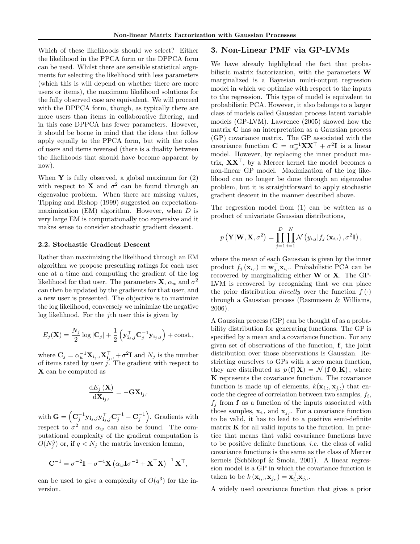Which of these likelihoods should we select? Either the likelihood in the PPCA form or the DPPCA form can be used. Whilst there are sensible statistical arguments for selecting the likelihood with less parameters (which this is will depend on whether there are more users or items), the maximum likelihood solutions for the fully observed case are equivalent. We will proceed with the DPPCA form, though, as typically there are more users than items in collaborative filtering, and in this case DPPCA has fewer parameters. However, it should be borne in mind that the ideas that follow apply equally to the PPCA form, but with the roles of users and items reversed (there is a duality between the likelihoods that should have become apparent by now).

When  $Y$  is fully observed, a global maximum for  $(2)$ with respect to **X** and  $\sigma^2$  can be found through an eigenvalue problem. When there are missing values, Tipping and Bishop (1999) suggested an expectationmaximization (EM) algorithm. However, when  $D$  is very large EM is computationally too expensive and it makes sense to consider stochastic gradient descent.

#### 2.2. Stochastic Gradient Descent

Rather than maximizing the likelihood through an EM algorithm we propose presenting ratings for each user one at a time and computing the gradient of the log likelihood for that user. The parameters **X**,  $\alpha_w$  and  $\sigma^2$ can then be updated by the gradients for that user, and a new user is presented. The objective is to maximize the log likelihood, conversely we minimize the negative log likelihood. For the jth user this is given by

$$
E_j(\mathbf{X}) = \frac{N_j}{2} \log |\mathbf{C}_j| + \frac{1}{2} \left( \mathbf{y}_{\mathbf{i}_j,j}^\top \mathbf{C}_j^{-1} \mathbf{y}_{\mathbf{i}_j,j} \right) + \text{const.},
$$

where  $\mathbf{C}_j = \alpha_w^{-1} \mathbf{X}_{\mathbf{i}_j,:} \mathbf{X}_{\mathbf{i}_j,:}^\top + \sigma^2 \mathbf{I}$  and  $N_j$  is the number of items rated by user  $j$ . The gradient with respect to X can be computed as

$$
\frac{\mathrm{d}E_{j}\left(\mathbf{X}\right)}{\mathrm{d}\mathbf{X}_{\mathbf{i}_{\mathbf{j}},:}}=-\mathbf{G}\mathbf{X}_{\mathbf{i}_{\mathbf{j}},:}
$$

with  $\mathbf{G} = \left( \mathbf{C}_j^{-1} \mathbf{y}_{\mathbf{i}_j,j} \mathbf{y}_{\mathbf{i}_j,j}^\top \mathbf{C}_j^{-1} - \mathbf{C}_j^{-1} \right)$ . Gradients with respect to  $\sigma^2$  and  $\alpha_w$  can also be found. The computational complexity of the gradient computation is  $O(N_j^3)$  or, if  $q < N_j$  the matrix inversion lemma,

$$
\mathbf{C}^{-1} = \sigma^{-2} \mathbf{I} - \sigma^{-4} \mathbf{X} \left( \alpha_w \mathbf{I} \sigma^{-2} + \mathbf{X}^\top \mathbf{X} \right)^{-1} \mathbf{X}^\top,
$$

can be used to give a complexity of  $O(q^3)$  for the inversion.

## 3. Non-Linear PMF via GP-LVMs

We have already highlighted the fact that probabilistic matrix factorization, with the parameters W marginalized is a Bayesian multi-output regression model in which we optimize with respect to the inputs to the regression. This type of model is equivalent to probabilistic PCA. However, it also belongs to a larger class of models called Gaussian process latent variable models (GP-LVM). Lawrence (2005) showed how the matrix C has an interpretation as a Gaussian process (GP) covariance matrix. The GP associated with the covariance function  $\mathbf{C} = \alpha_w^{-1} \mathbf{X} \mathbf{X}^{\top} + \sigma^2 \mathbf{I}$  is a linear model. However, by replacing the inner product matrix,  $\mathbf{X} \mathbf{X}^{\top}$ , by a Mercer kernel the model becomes a non-linear GP model. Maximization of the log likelihood can no longer be done through an eigenvalue problem, but it is straightforward to apply stochastic gradient descent in the manner described above.

The regression model from (1) can be written as a product of univariate Gaussian distributions,

$$
p\left(\mathbf{Y}|\mathbf{W},\mathbf{X},\sigma^2\right)=\prod_{j=1}^D\prod_{i=1}^N\mathcal{N}\left(y_{i,j}|f_j\left(\mathbf{x}_{i,:}\right),\sigma^2\mathbf{I}\right),\,
$$

where the mean of each Gaussian is given by the inner product  $f_j(\mathbf{x}_{i,:}) = \mathbf{w}_{j,:}^{\top} \mathbf{x}_{i,:}$ . Probabilistic PCA can be recovered by marginalizing either  $W$  or  $X$ . The GP-LVM is recovered by recognizing that we can place the prior distribution *directly* over the function  $f(\cdot)$ through a Gaussian process (Rasmussen & Williams, 2006).

A Gaussian process (GP) can be thought of as a probability distribution for generating functions. The GP is specified by a mean and a covariance function. For any given set of observations of the function, f, the joint distribution over those observations is Gaussian. Restricting ourselves to GPs with a zero mean function, they are distributed as  $p(\mathbf{f}|\mathbf{X}) = \mathcal{N}(\mathbf{f}|\mathbf{0},\mathbf{K})$ , where K represents the covariance function. The covariance function is made up of elements,  $k(\mathbf{x}_{i,:}, \mathbf{x}_{j,:})$  that en- $\text{code the degree of correlation between two samples, } f_i,$  $f_j$  from **f** as a function of the inputs associated with those samples,  $\mathbf{x}_{i,:}$  and  $\mathbf{x}_{j,:}$ . For a covariance function to be valid, it has to lead to a positive semi-definite matrix  $\bf{K}$  for all valid inputs to the function. In practice that means that valid covariance functions have to be positive definite functions, i.e. the class of valid covariance functions is the same as the class of Mercer kernels (Schölkopf & Smola, 2001). A linear regression model is a GP in which the covariance function is taken to be  $k(\mathbf{x}_{i,:}, \mathbf{x}_{j,:}) = \mathbf{x}_{i,:}^{\top} \mathbf{x}_{j,:}.$ 

A widely used covariance function that gives a prior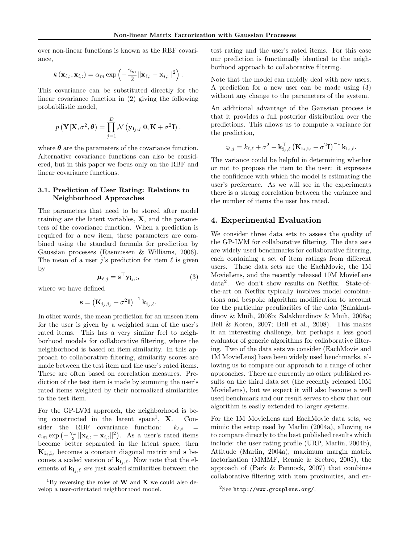over non-linear functions is known as the RBF covariance,

$$
k(\mathbf{x}_{\ell,:}, \mathbf{x}_{i,:}) = \alpha_m \exp \left(-\frac{\gamma_m}{2}||\mathbf{x}_{\ell,:} - \mathbf{x}_{i,:}||^2\right).
$$

This covariance can be substituted directly for the linear covariance function in (2) giving the following probabilistic model,

$$
p\left(\mathbf{Y}|\mathbf{X},\sigma^2,\boldsymbol{\theta}\right)=\prod_{j=1}^D\mathcal{N}\left(\mathbf{y}_{\mathbf{i}_j,j}|\mathbf{0},\mathbf{K}+\sigma^2\mathbf{I}\right).
$$

where  $\theta$  are the parameters of the covariance function. Alternative covariance functions can also be considered, but in this paper we focus only on the RBF and linear covariance functions.

## 3.1. Prediction of User Rating: Relations to Neighborhood Approaches

The parameters that need to be stored after model training are the latent variables,  $X$ , and the parameters of the covariance function. When a prediction is required for a new item, these parameters are combined using the standard formula for prediction by Gaussian processes (Rasmussen & Williams, 2006). The mean of a user j's prediction for item  $\ell$  is given by

$$
\boldsymbol{\mu}_{\ell,j} = \mathbf{s}^{\top} \mathbf{y}_{\mathbf{i}_j,:},\tag{3}
$$

where we have defined

$$
\mathbf{s} = \left(\mathbf{K}_{\mathbf{i}_{j}, \mathbf{i}_{j}} + \sigma^{2} \mathbf{I}\right)^{-1} \mathbf{k}_{\mathbf{i}_{j}, \ell}.
$$

In other words, the mean prediction for an unseen item for the user is given by a weighted sum of the user's rated items. This has a very similar feel to neighborhood models for collaborative filtering, where the neighborhood is based on item similarity. In this approach to collaborative filtering, similarity scores are made between the test item and the user's rated items. These are often based on correlation measures. Prediction of the test item is made by summing the user's rated items weighted by their normalized similarities to the test item.

For the GP-LVM approach, the neighborhood is being constructed in the latent space<sup>1</sup> , X. Consider the RBF covariance function:  $k_{\ell,i}$  =  $\alpha_m \exp\left(-\frac{\gamma_m}{2}||\mathbf{x}_{\ell,:}-\mathbf{x}_{i,:}||^2\right)$ . As a user's rated items become better separated in the latent space, then  $\mathbf{K}_{\mathbf{i}_{i},\mathbf{i}_{j}}$  becomes a constant diagonal matrix and **s** becomes a scaled version of  $\mathbf{k}_{i,j,\ell}$ . Now note that the elements of  $\mathbf{k}_{i,j,\ell}$  are just scaled similarities between the

test rating and the user's rated items. For this case our prediction is functionally identical to the neighborhood approach to collaborative filtering.

Note that the model can rapidly deal with new users. A prediction for a new user can be made using (3) without any change to the parameters of the system.

An additional advantage of the Gaussian process is that it provides a full posterior distribution over the predictions. This allows us to compute a variance for the prediction,

$$
\varsigma_{\ell,j} = k_{\ell,\ell} + \sigma^2 - \mathbf{k}_{\mathbf{i}_j,\ell}^{\top} (\mathbf{K}_{\mathbf{i}_j,\mathbf{i}_j} + \sigma^2 \mathbf{I})^{-1} \mathbf{k}_{\mathbf{i}_j,\ell}.
$$

The variance could be helpful in determining whether or not to propose the item to the user: it expresses the confidence with which the model is estimating the user's preference. As we will see in the experiments there is a strong correlation between the variance and the number of items the user has rated.

### 4. Experimental Evaluation

We consider three data sets to assess the quality of the GP-LVM for collaborative filtering. The data sets are widely used benchmarks for collaborative filtering, each containing a set of item ratings from different users. These data sets are the EachMovie, the 1M MovieLens, and the recently released 10M MovieLens data<sup>2</sup> . We don't show results on Netflix. State-ofthe-art on Netflix typically involves model combinations and bespoke algorithm modification to account for the particular peculiarities of the data (Salakhutdinov & Mnih, 2008b; Salakhutdinov & Mnih, 2008a; Bell  $& Koren, 2007$ ; Bell et al., 2008). This makes it an interesting challenge, but perhaps a less good evaluator of generic algorithms for collaborative filtering. Two of the data sets we consider (EachMovie and 1M MovieLens) have been widely used benchmarks, allowing us to compare our approach to a range of other approaches. There are currently no other published results on the third data set (the recently released 10M MovieLens), but we expect it will also become a well used benchmark and our result serves to show that our algorithm is easily extended to larger systems.

For the 1M MovieLens and EachMovie data sets, we mimic the setup used by Marlin (2004a), allowing us to compare directly to the best published results which include: the user rating profile (URP, Marlin, 2004b), Attitude (Marlin, 2004a), maximum margin matrix factorization (MMMF, Rennie & Srebro, 2005), the approach of (Park & Pennock, 2007) that combines collaborative filtering with item proximities, and en-

<sup>&</sup>lt;sup>1</sup>By reversing the roles of **W** and **X** we could also develop a user-orientated neighborhood model.

<sup>2</sup>See http://www.grouplens.org/.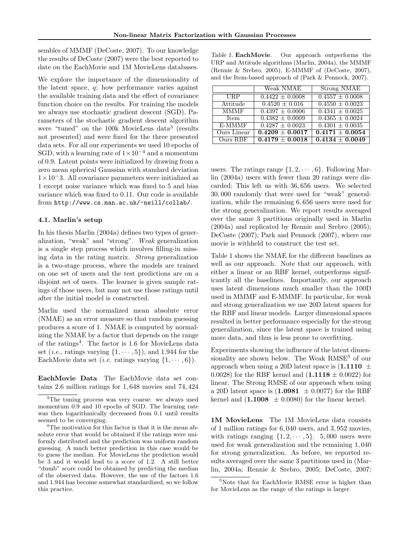sembles of MMMF (DeCoste, 2007). To our knowledge the results of DeCoste (2007) were the best reported to date on the EachMovie and 1M MovieLens databases.

We explore the importance of the dimensionality of the latent space,  $q$ ; how performance varies against the available training data and the effect of covariance function choice on the results. For training the models we always use stochastic gradient descent (SGD). Parameters of the stochastic gradient descent algorithm were "tuned" on the 100k MovieLens data<sup>3</sup> (results not presented) and were fixed for the three presented data sets. For all our experiments we used 10 epochs of SGD, with a learning rate of  $1 \times 10^{-4}$  and a momentum of 0.9. Latent points were initialized by drawing from a zero mean spherical Gaussian with standard deviation  $1 \times 10^{-3}$ . All covariance parameters were initialized as 1 except noise variance which was fixed to 5 and bias variance which was fixed to 0.11. Our code is available from http://www.cs.man.ac.uk/~neill/collab/.

#### 4.1. Marlin's setup

In his thesis Marlin (2004a) defines two types of generalization, "weak" and "strong". Weak generalization is a single step process which involves filling-in missing data in the rating matrix. Strong generalization is a two-stage process, where the models are trained on one set of users and the test predictions are on a disjoint set of users. The learner is given sample ratings of those users, but may not use those ratings until after the initial model is constructed.

Marlin used the normalized mean absolute error (NMAE) as an error measure so that random guessing produces a score of 1. NMAE is computed by normalizing the NMAE by a factor that depends on the range of the ratings<sup>4</sup> . The factor is 1.6 for MovieLens data set (*i.e.*, ratings varying  $\{1, \dots, 5\}$ ), and 1.944 for the EachMovie data set (*i.e.* ratings varying  $\{1, \dots, 6\}$ ).

EachMovie Data The EachMovie data set contains 2.6 million ratings for 1, 648 movies and 74, 424

| Table 1. EachMovie. Our approach outperforms the       |  |  |
|--------------------------------------------------------|--|--|
| URP and Attitude algorithms (Marlin, 2004a), the MMMF  |  |  |
| (Rennie & Srebro, 2005), E-MMMF of (DeCoste, 2007),    |  |  |
| and the Item-based approach of (Park & Pennock, 2007). |  |  |

|               | Weak NMAE                      | Strong NMAE         |
|---------------|--------------------------------|---------------------|
| <b>URP</b>    | $\overline{0.44}22 \pm 0.0008$ | $0.4557 \pm 0.0008$ |
| Attitude      | $0.4520 \pm 0.016$             | $0.4550 \pm 0.0023$ |
| <b>MMMF</b>   | $0.4397 \pm 0.0006$            | $0.4341 \pm 0.0025$ |
| <b>Item</b>   | $0.4382 \pm 0.0009$            | $0.4365 \pm 0.0024$ |
| <b>E-MMMF</b> | $0.4287 \pm 0.0023$            | $0.4301 \pm 0.0035$ |
| Ours Linear   | $0.4209 + 0.0017$              | $0.4171 + 0.0054$   |
| Ours RBF      | $0.4179 \pm 0.0018$            | $0.4134 \pm 0.0049$ |

users. The ratings range  $\{1, 2, \dots, 6\}$ . Following Marlin (2004a) users with fewer than 20 ratings were discarded; This left us with 36, 656 users. We selected 30, 000 randomly that were used for "weak" generalization, while the remaining 6, 656 users were used for the strong generalization. We report results averaged over the same 3 partitions originally used in Marlin (2004a) and replicated by Rennie and Srebro (2005); DeCoste (2007); Park and Pennock (2007), where one movie is withheld to construct the test set.

Table 1 shows the NMAE for the different baselines as well as our approach. Note that our approach, with either a linear or an RBF kernel, outperforms significantly all the baselines. Importantly, our approach uses latent dimensions much smaller than the 100D used in MMMF and E-MMMF. In particular, for weak and strong generalization we use 20D latent spaces for the RBF and linear models. Larger dimensional spaces resulted in better performance especially for the strong generalization, since the latent space is trained using more data, and thus is less prone to overfitting.

Experiments showing the influence of the latent dimensionality are shown below. The Weak RMSE<sup>5</sup> of our approach when using a 20D latent space is  $(1.1110 \pm$ 0.0028) for the RBF kernel and  $(1.1118 \pm 0.0022)$  for linear. The Strong RMSE of our approach when using a 20D latent space is  $(1.0981 \pm 0.0077)$  for the RBF kernel and  $(1.1008 \pm 0.0080)$  for the linear kernel.

1M MovieLens The 1M MovieLens data consists of 1 million ratings for 6, 040 users, and 3, 952 movies, with ratings ranging  $\{1, 2, \dots, 5\}$ . 5,000 users were used for weak generalization and the remaining 1, 040 for strong generalization. As before, we reported results averaged over the same 3 partitions used in (Marlin, 2004a; Rennie & Srebro, 2005; DeCoste, 2007;

<sup>3</sup>The tuning process was very coarse: we always used momentum 0.9 and 10 epochs of SGD. The learning rate was then logarithmically decreased from 0.1 until results seemed to be converging.

<sup>&</sup>lt;sup>4</sup>The motivation for this factor is that it is the mean absolute error that would be obtained if the ratings were uniformly distributed and the prediction was uniform random guessing. A much better prediction in this case would be to guess the median. For MovieLens the prediction would be 3 and it would lead to a score of 1.2. A still better "dumb" score could be obtained by predicting the median of the observed data. However, the use of the factors 1.6 and 1.944 has become somewhat standardized, so we follow this practice.

<sup>5</sup>Note that for EachMovie RMSE error is higher than for MovieLens as the range of the ratings is larger.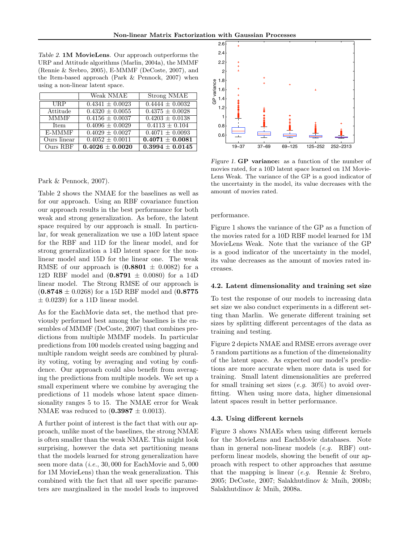Table 2. 1M MovieLens. Our approach outperforms the URP and Attitude algorithms (Marlin, 2004a), the MMMF (Rennie & Srebro, 2005), E-MMMF (DeCoste, 2007), and the Item-based approach (Park & Pennock, 2007) when using a non-linear latent space.

|                 | Weak NMAE           | <b>Strong NMAE</b>             |
|-----------------|---------------------|--------------------------------|
| <b>URP</b>      | $0.4341 \pm 0.0023$ | $0.4444 \pm 0.0032$            |
| Attitude        | $0.4320 \pm 0.0055$ | $0.4375 \pm 0.0028$            |
| $M\overline{M}$ | $0.4156 \pm 0.0037$ | $\overline{0.4203} \pm 0.0138$ |
| <b>Item</b>     | $0.4096 \pm 0.0029$ | $0.4113 \pm 0.104$             |
| E-MMMF          | $0.4029 \pm 0.0027$ | $0.4071 \pm 0.0093$            |
| Ours linear     | $0.4052 \pm 0.0011$ | $0.4071 \pm 0.0081$            |
| Ours RBF        | $0.4026 \pm 0.0020$ | $0.3994 \pm 0.0145$            |

## Park & Pennock, 2007).

Table 2 shows the NMAE for the baselines as well as for our approach. Using an RBF covariance function our approach results in the best performance for both weak and strong generalization. As before, the latent space required by our approach is small. In particular, for weak generalization we use a 10D latent space for the RBF and 11D for the linear model, and for strong generalization a 14D latent space for the nonlinear model and 15D for the linear one. The weak RMSE of our approach is  $(0.8801 \pm 0.0082)$  for a 12D RBF model and  $(0.8791 \pm 0.0080)$  for a 14D linear model. The Strong RMSE of our approach is  $(0.8748 \pm 0.0268)$  for a 15D RBF model and  $(0.8775)$  $\pm$  0.0239) for a 11D linear model.

As for the EachMovie data set, the method that previously performed best among the baselines is the ensembles of MMMF (DeCoste, 2007) that combines predictions from multiple MMMF models. In particular predictions from 100 models created using bagging and multiple random weight seeds are combined by plurality voting, voting by averaging and voting by confidence. Our approach could also benefit from averaging the predictions from multiple models. We set up a small experiment where we combine by averaging the predictions of 11 models whose latent space dimensionality ranges 5 to 15. The NMAE error for Weak NMAE was reduced to  $(0.3987 \pm 0.0013)$ .

A further point of interest is the fact that with our approach, unlike most of the baselines, the strong NMAE is often smaller than the weak NMAE. This might look surprising, however the data set partitioning means that the models learned for strong generalization have seen more data (i.e., 30, 000 for EachMovie and 5, 000 for 1M MovieLens) than the weak generalization. This combined with the fact that all user specific parameters are marginalized in the model leads to improved



Figure 1. **GP** variance: as a function of the number of movies rated, for a 10D latent space learned on 1M Movie-Lens Weak. The variance of the GP is a good indicator of the uncertainty in the model, its value decreases with the amount of movies rated.

#### performance.

Figure 1 shows the variance of the GP as a function of the movies rated for a 10D RBF model learned for 1M MovieLens Weak. Note that the variance of the GP is a good indicator of the uncertainty in the model, its value decreases as the amount of movies rated increases.

#### 4.2. Latent dimensionality and training set size

To test the response of our models to increasing data set size we also conduct experiments in a different setting than Marlin. We generate different training set sizes by splitting different percentages of the data as training and testing.

Figure 2 depicts NMAE and RMSE errors average over 5 random partitions as a function of the dimensionality of the latent space. As expected our model's predictions are more accurate when more data is used for training. Small latent dimensionalities are preferred for small training set sizes  $(e.g. 30\%)$  to avoid overfitting. When using more data, higher dimensional latent spaces result in better performance.

### 4.3. Using different kernels

Figure 3 shows NMAEs when using different kernels for the MovieLens and EachMovie databases. Note than in general non-linear models  $(e.g.$  RBF) outperform linear models, showing the benefit of our approach with respect to other approaches that assume that the mapping is linear  $(e.g.$  Rennie & Srebro, 2005; DeCoste, 2007; Salakhutdinov & Mnih, 2008b; Salakhutdinov & Mnih, 2008a.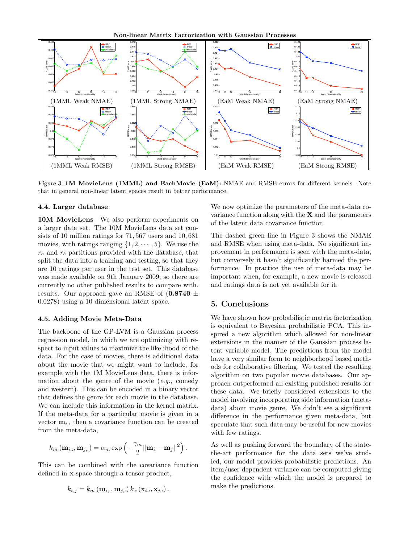Non-linear Matrix Factorization with Gaussian Processes



Figure 3. 1M MovieLens (1MML) and EachMovie (EaM): NMAE and RMSE errors for different kernels. Note that in general non-linear latent spaces result in better performance.

### 4.4. Larger database

10M MovieLens We also perform experiments on a larger data set. The 10M MovieLens data set consists of 10 million ratings for 71, 567 users and 10, 681 movies, with ratings ranging  $\{1, 2, \dots, 5\}$ . We use the  $r_a$  and  $r_b$  partitions provided with the database, that split the data into a training and testing, so that they are 10 ratings per user in the test set. This database was made available on 9th January 2009, so there are currently no other published results to compare with. results. Our approach gave an RMSE of  $(0.8740 \pm$ 0.0278) using a 10 dimensional latent space.

#### 4.5. Adding Movie Meta-Data

The backbone of the GP-LVM is a Gaussian process regression model, in which we are optimizing with respect to input values to maximize the likelihood of the data. For the case of movies, there is additional data about the movie that we might want to include, for example with the 1M MovieLens data, there is information about the genre of the movie  $(e.g., \text{ comedy})$ and western). This can be encoded in a binary vector that defines the genre for each movie in the database. We can include this information in the kernel matrix. If the meta-data for a particular movie is given in a vector  $\mathbf{m}_{i,:}$  then a covariance function can be created from the meta-data,

$$
k_m\left(\mathbf{m}_{i,:},\mathbf{m}_{j,:}\right) = \alpha_m \exp\left(-\frac{\gamma_m}{2}||\mathbf{m}_i - \mathbf{m}_j||^2\right).
$$

This can be combined with the covariance function defined in x-space through a tensor product,

$$
k_{i,j} = k_m \left( \mathbf{m}_{i,:}, \mathbf{m}_{j,:} \right) k_x \left( \mathbf{x}_{i,:}, \mathbf{x}_{j,:} \right).
$$

We now optimize the parameters of the meta-data covariance function along with the  $X$  and the parameters of the latent data covariance function.

The dashed green line in Figure 3 shows the NMAE and RMSE when using meta-data. No significant improvement in performance is seen with the meta-data, but conversely it hasn't significantly harmed the performance. In practice the use of meta-data may be important when, for example, a new movie is released and ratings data is not yet available for it.

## 5. Conclusions

We have shown how probabilistic matrix factorization is equivalent to Bayesian probabilistic PCA. This inspired a new algorithm which allowed for non-linear extensions in the manner of the Gaussian process latent variable model. The predictions from the model have a very similar form to neighborhood based methods for collaborative filtering. We tested the resulting algorithm on two popular movie databases. Our approach outperformed all existing published results for these data. We briefly considered extensions to the model involving incorporating side information (metadata) about movie genre. We didn't see a significant difference in the performance given meta-data, but speculate that such data may be useful for new movies with few ratings.

As well as pushing forward the boundary of the statethe-art performance for the data sets we've studied, our model provides probabilistic predictions. An item/user dependent variance can be computed giving the confidence with which the model is prepared to make the predictions.